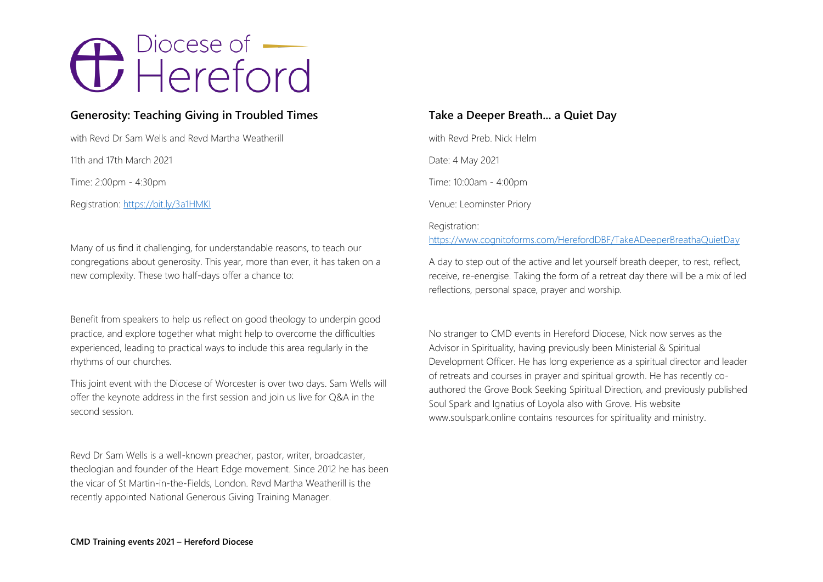# <del>O</del> Piocese of

### **Generosity: Teaching Giving in Troubled Times**

with Revd Dr Sam Wells and Revd Martha Weatherill

11th and 17th March 2021

Time: 2:00pm - 4:30pm

Registration:<https://bit.ly/3a1HMKI>

Many of us find it challenging, for understandable reasons, to teach our congregations about generosity. This year, more than ever, it has taken on a new complexity. These two half-days offer a chance to:

Benefit from speakers to help us reflect on good theology to underpin good practice, and explore together what might help to overcome the difficulties experienced, leading to practical ways to include this area regularly in the rhythms of our churches.

This joint event with the Diocese of Worcester is over two days. Sam Wells will offer the keynote address in the first session and join us live for Q&A in the second session.

Revd Dr Sam Wells is a well-known preacher, pastor, writer, broadcaster, theologian and founder of the Heart Edge movement. Since 2012 he has been the vicar of St Martin-in-the-Fields, London. Revd Martha Weatherill is the recently appointed National Generous Giving Training Manager.

### **Take a Deeper Breath... a Quiet Day**

with Revd Preb. Nick Helm Date: 4 May 2021 Time: 10:00am - 4:00pm Venue: Leominster Priory

#### Registration:

<https://www.cognitoforms.com/HerefordDBF/TakeADeeperBreathaQuietDay>

A day to step out of the active and let yourself breath deeper, to rest, reflect, receive, re-energise. Taking the form of a retreat day there will be a mix of led reflections, personal space, prayer and worship.

No stranger to CMD events in Hereford Diocese, Nick now serves as the Advisor in Spirituality, having previously been Ministerial & Spiritual Development Officer. He has long experience as a spiritual director and leader of retreats and courses in prayer and spiritual growth. He has recently coauthored the Grove Book Seeking Spiritual Direction, and previously published Soul Spark and Ignatius of Loyola also with Grove. His website www.soulspark.online contains resources for spirituality and ministry.